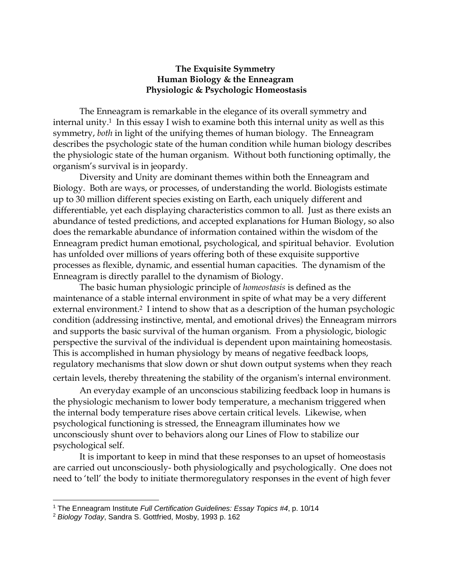## **The Exquisite Symmetry Human Biology & the Enneagram Physiologic & Psychologic Homeostasis**

The Enneagram is remarkable in the elegance of its overall symmetry and internal unity.<sup>1</sup> In this essay I wish to examine both this internal unity as well as this symmetry, *both* in light of the unifying themes of human biology. The Enneagram describes the psychologic state of the human condition while human biology describes the physiologic state of the human organism. Without both functioning optimally, the organism's survival is in jeopardy.

Diversity and Unity are dominant themes within both the Enneagram and Biology. Both are ways, or processes, of understanding the world. Biologists estimate up to 30 million different species existing on Earth, each uniquely different and differentiable, yet each displaying characteristics common to all. Just as there exists an abundance of tested predictions, and accepted explanations for Human Biology, so also does the remarkable abundance of information contained within the wisdom of the Enneagram predict human emotional, psychological, and spiritual behavior. Evolution has unfolded over millions of years offering both of these exquisite supportive processes as flexible, dynamic, and essential human capacities. The dynamism of the Enneagram is directly parallel to the dynamism of Biology.

The basic human physiologic principle of *homeostasis* is defined as the maintenance of a stable internal environment in spite of what may be a very different external environment.<sup>2</sup> I intend to show that as a description of the human psychologic condition (addressing instinctive, mental, and emotional drives) the Enneagram mirrors and supports the basic survival of the human organism. From a physiologic, biologic perspective the survival of the individual is dependent upon maintaining homeostasis. This is accomplished in human physiology by means of negative feedback loops, regulatory mechanisms that slow down or shut down output systems when they reach certain levels, thereby threatening the stability of the organism's internal environment.

An everyday example of an unconscious stabilizing feedback loop in humans is the physiologic mechanism to lower body temperature, a mechanism triggered when the internal body temperature rises above certain critical levels. Likewise, when psychological functioning is stressed, the Enneagram illuminates how we unconsciously shunt over to behaviors along our Lines of Flow to stabilize our psychological self.

It is important to keep in mind that these responses to an upset of homeostasis are carried out unconsciously- both physiologically and psychologically. One does not need to 'tell' the body to initiate thermoregulatory responses in the event of high fever

 $\overline{a}$ 

<sup>1</sup> The Enneagram Institute *Full Certification Guidelines: Essay Topics #4*, p. 10/14

<sup>2</sup> *Biology Today*, Sandra S. Gottfried, Mosby, 1993 p. 162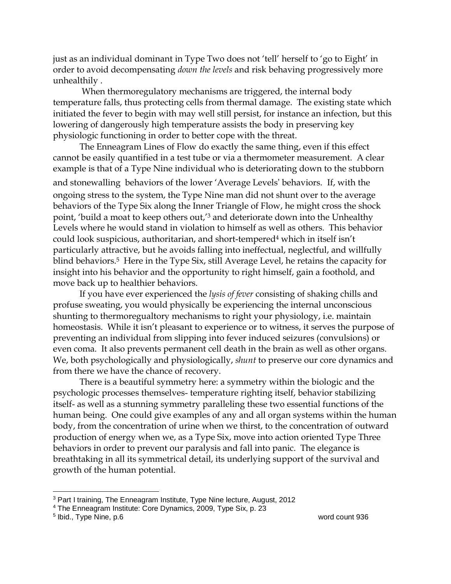just as an individual dominant in Type Two does not 'tell' herself to 'go to Eight' in order to avoid decompensating *down the levels* and risk behaving progressively more unhealthily .

When thermoregulatory mechanisms are triggered, the internal body temperature falls, thus protecting cells from thermal damage. The existing state which initiated the fever to begin with may well still persist, for instance an infection, but this lowering of dangerously high temperature assists the body in preserving key physiologic functioning in order to better cope with the threat.

The Enneagram Lines of Flow do exactly the same thing, even if this effect cannot be easily quantified in a test tube or via a thermometer measurement. A clear example is that of a Type Nine individual who is deteriorating down to the stubborn and stonewalling behaviors of the lower 'Average Levels' behaviors. If, with the ongoing stress to the system, the Type Nine man did not shunt over to the average behaviors of the Type Six along the Inner Triangle of Flow, he might cross the shock point, 'build a moat to keep others out,' <sup>3</sup> and deteriorate down into the Unhealthy Levels where he would stand in violation to himself as well as others. This behavior could look suspicious, authoritarian, and short-tempered<sup>4</sup> which in itself isn't particularly attractive, but he avoids falling into ineffectual, neglectful, and willfully blind behaviors.5 Here in the Type Six, still Average Level, he retains the capacity for insight into his behavior and the opportunity to right himself, gain a foothold, and move back up to healthier behaviors.

If you have ever experienced the *lysis of fever* consisting of shaking chills and profuse sweating, you would physically be experiencing the internal unconscious shunting to thermoregualtory mechanisms to right your physiology, i.e. maintain homeostasis. While it isn't pleasant to experience or to witness, it serves the purpose of preventing an individual from slipping into fever induced seizures (convulsions) or even coma. It also prevents permanent cell death in the brain as well as other organs. We, both psychologically and physiologically, *shunt* to preserve our core dynamics and from there we have the chance of recovery.

There is a beautiful symmetry here: a symmetry within the biologic and the psychologic processes themselves- temperature righting itself, behavior stabilizing itself- as well as a stunning symmetry paralleling these two essential functions of the human being. One could give examples of any and all organ systems within the human body, from the concentration of urine when we thirst, to the concentration of outward production of energy when we, as a Type Six, move into action oriented Type Three behaviors in order to prevent our paralysis and fall into panic. The elegance is breathtaking in all its symmetrical detail, its underlying support of the survival and growth of the human potential.

 $\overline{a}$ 

<sup>3</sup> Part I training, The Enneagram Institute, Type Nine lecture, August, 2012

<sup>4</sup> The Enneagram Institute: Core Dynamics, 2009, Type Six, p. 23

<sup>5</sup> Ibid., Type Nine, p.6 word count 936